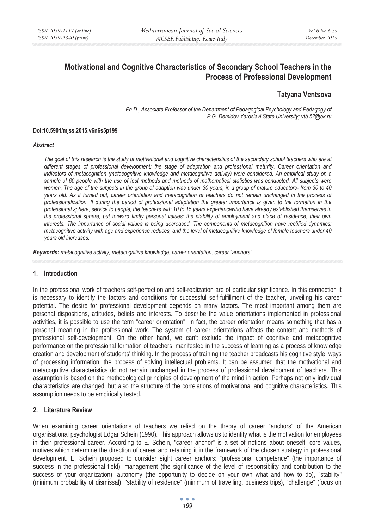# **Motivational and Ɍognitive Ɍharacteristics of Secondary School Teachers in the Process of Professional Development**

## **Tatyana Ventsova**

*Ph.D., Associate Professor of the Department of Pedagogical Psychology and Pedagogy of P.G. Demidov Yaroslavl State University; vtb.52@bk.ru* 

#### **Doi:10.5901/mjss.2015.v6n6s5p199**

#### *Abstract*

*The goal of this research is the study of motivational and cognitive characteristics of the secondary school teachers who are at*  different stages of professional development: the stage of adaptation and professional maturity. Career orientation and indicators of metacognition (metacognitive knowledge and metacognitive activity) were considered. An empirical study on a sample of 60 people with the use of test methods and methods of mathematical statistics was conducted. All subjects were *women. The age of the subjects in the group of adaption was under 30 years, in a group of mature educators- from 30 to 40 years old. As it turned out, career orientation and metacognition of teachers do not remain unchanged in the process of professionalization. If during the period of professional adaptation the greater importance is given to the formation in the professional sphere, service to people, the teachers with 10 to 15 years experiencewho have already established themselves in the professional sphere, put forward firstly personal values: the stability of employment and place of residence, their own interests. The importance of social values is being decreased. The components of metacognition have rectified dynamics: metacognitive activity with age and experience reduces, and the level of metacognitive knowledge of female teachers under 40 years old increases.* 

*Keywords: metacognitive activity, metacognitive knowledge, career orientation, career "anchors".* 

#### **1. Introduction**

In the professional work of teachers self-perfection and self-realization are of particular significance. In this connection it is necessary to identify the factors and conditions for successful self-fulfillment of the teacher, unveiling his career potential. The desire for professional development depends on many factors. The most important among them are personal dispositions, attitudes, beliefs and interests. To describe the value orientations implemented in professional activities, it is possible to use the term "career orientation". In fact, the career orientation means something that has a personal meaning in the professional work. The system of career orientations affects the content and methods of professional self-development. On the other hand, we can't exclude the impact of cognitive and metacognitive performance on the professional formation of teachers, manifested in the success of learning as a process of knowledge creation and development of students' thinking. In the process of training the teacher broadcasts his cognitive style, ways of processing information, the process of solving intellectual problems. It can be assumed that the motivational and metacognitive characteristics do not remain unchanged in the process of professional development of teachers. This assumption is based on the methodological principles of development of the mind in action. Perhaps not only individual characteristics are changed, but also the structure of the correlations of motivational and cognitive characteristics. This assumption needs to be empirically tested.

### **2. Literature Review**

When examining career orientations of teachers we relied on the theory of career "anchors" of the American organisational psychologist Edgar Schein (1990). This approach allows us to identify what is the motivation for employees in their professional career. According to E. Schein, "career anchor" is a set of notions about oneself, core values, motives which determine the direction of career and retaining it in the framework of the chosen strategy in professional development. E. Schein proposed to consider eight career anchors: "professional competence" (the importance of success in the professional field), management (the significance of the level of responsibility and contribution to the success of your organization), autonomy (the opportunity to decide on your own what and how to do), "stability" (minimum probability of dismissal), "stability of residence" (minimum of travelling, business trips), "challenge" (focus on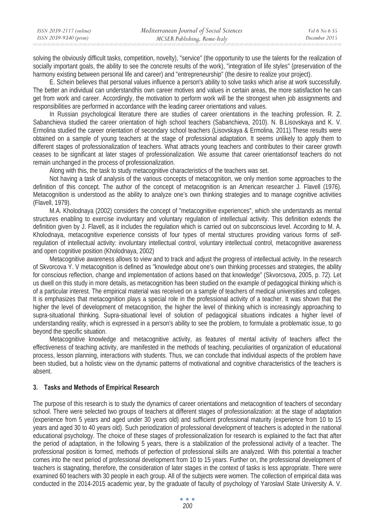| ISSN 2039-2117 (online) | Mediterranean Journal of Social Sciences | Vol 6 No 6 S5 |
|-------------------------|------------------------------------------|---------------|
| ISSN 2039-9340 (print)  | MCSER Publishing, Rome-Italy             | December 2015 |

solving the obviously difficult tasks, competition, novelty), "service" (the opportunity to use the talents for the realization of socially important goals, the ability to see the concrete results of the work), "integration of life styles" (preservation of the harmony existing between personal life and career) and "entrepreneurship" (the desire to realize your project).

E. Schein believes that personal values influence a person's ability to solve tasks which arise at work successfully. The better an individual can understandhis own career motives and values in certain areas, the more satisfaction he can get from work and career. Accordingly, the motivation to perform work will be the strongest when job assignments and responsibilities are performed in accordance with the leading career orientations and values.

In Russian psychological literature there are studies of career orientations in the teaching profession. R. Z. Sabanchieva studied the career orientation of high school teachers (Sabanchieva, 2010). N. B.Lisovskaya and K. V. Ermolina studied the career orientation of secondary school teachers (Lisovskaya & Ermolina, 2011).These results were obtained on a sample of young teachers at the stage of professional adaptation. It seems unlikely to apply them to different stages of professionalization of teachers. What attracts young teachers and contributes to their career growth ceases to be significant at later stages of professionalization. We assume that career orientationsof teachers do not remain unchanged in the process of professionalization.

Along with this, the task to study metacognitive characteristics of the teachers was set.

Not having a task of analysis of the various concepts of metacognition, we only mention some approaches to the definition of this concept. The author of the concept of metacognition is an American researcher J. Flavell (1976). Metacognition is understood as the ability to analyze one's own thinking strategies and to manage cognitive activities (Flavell, 1979).

M.A. Kholodnaya (2002) considers the concept of "metacognitive experiences", which she understands as mental structures enabling to exercise involuntary and voluntary regulation of intellectual activity. This definition extends the definition given by J. Flavell, as it includes the regulation which is carried out on subconscious level. According to M. A. Kholodnaya, metacognitive experience consists of four types of mental structures providing various forms of selfregulation of intellectual activity: involuntary intellectual control, voluntary intellectual control, metacognitive awareness and open cognitive position (Kholodnaya, 2002)

Metacognitive awareness allows to view and to track and adjust the progress of intellectual activity. In the research of Skvorcova Y. V metacognition is defined as "knowledge about one's own thinking processes and strategies, the ability for conscious reflection, change and implementation of actions based on that knowledge" (Skvorcsova, 2005, p. 72). Let us dwell on this study in more details, as metacognition has been studied on the example of pedagogical thinking which is of a particular interest. The empirical material was received on a sample of teachers of medical universities and colleges. It is emphasizes that metacognition plays a special role in the professional activity of a teacher. It was shown that the higher the level of development of metacognition, the higher the level of thinking which is increasingly approaching to supra-situational thinking. Supra-situational level of solution of pedagogical situations indicates a higher level of understanding reality, which is expressed in a person's ability to see the problem, to formulate a problematic issue, to go beyond the specific situation.

Metacognitive knowledge and metacognitive activity, as features of mental activity of teachers affect the effectiveness of teaching activity, are manifested in the methods of teaching, peculiarities of organization of educational process, lesson planning, interactions with students. Thus, we can conclude that individual aspects of the problem have been studied, but a holistic view on the dynamic patterns of motivational and cognitive characteristics of the teachers is absent.

#### **3. Tasks and Methods of Empirical Research**

The purpose of this research is to study the dynamics of career orientations and metacognition of teachers of secondary school. There were selected two groups of teachers at different stages of professionalization: at the stage of adaptation (experience from 5 years and aged under 30 years old) and sufficient professional maturity (experience from 10 to 15 years and aged 30 to 40 years old). Such periodization of professional development of teachers is adopted in the national educational psychology. The choice of these stages of professionalization for research is explained to the fact that after the period of adaptation, in the following 5 years, there is a stabilization of the professional activity of a teacher. The professional position is formed, methods of perfection of professional skills are analyzed. With this potential a teacher comes into the next period of professional development from 10 to 15 years. Further on, the professional development of teachers is stagnating, therefore, the consideration of later stages in the context of tasks is less appropriate. There were examined 60 teachers with 30 people in each group. All of the subjects were women. The collection of empirical data was conducted in the 2014-2015 academic year, by the graduate of faculty of psychology of Yaroslavl State University A. V.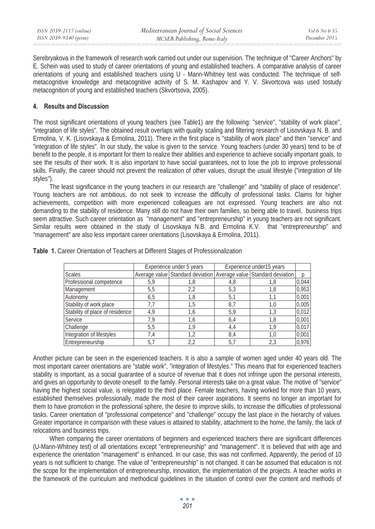| ISSN 2039-2117 (online) | Mediterranean Journal of Social Sciences | Vol 6 No 6 S5 |
|-------------------------|------------------------------------------|---------------|
| ISSN 2039-9340 (print)  | MCSER Publishing, Rome-Italy             | December 2015 |

Serebryakova in the framework of research work carried out under our supervision. The technique of "Career Anchors" by E. Schein was used to study of career orientations of young and established teachers. A comparative analysis of career orientations of young and established teachers using U - Mann-Whitney test was conducted. The technique of selfmetacognitive knowledge and metacognitive activity of S. M. Kashapov and Y. V. Skvortcova was used tostudy metacognition of young and established teachers (Skvortsova, 2005).

#### **4. Results and Discussion**

The most significant orientations of young teachers (see Table1) are the following: "service", "stability of work place", "integration of life styles". The obtained result overlaps with quality scaling and filtering research of Lisovskaya N. B. and Ermolina, V. K. (Lisovskaya & Ermolina, 2011). There in the first place is "stability of work place" and then "service" and "integration of life styles". In our study, the value is given to the service. Young teachers (under 30 years) tend to be of benefit to the people, it is important for them to realize their abilities and experience to achieve socially important goals, to see the results of their work. It is also important to have social guarantees, not to lose the job to improve professional skills. Finally, the career should not prevent the realization of other values, disrupt the usual lifestyle ("integration of life styles").

The least significance in the young teachers in our research are "challenge" and "stability of place of residence". Young teachers are not ambitious, do not seek to increase the difficulty of professional tasks. Claims for higher achievements, competition with more experienced colleagues are not expressed. Young teachers are also not demanding to the stability of residence. Many still do not have their own families, so being able to travel, business trips seem attractive. Such career orientation as "management" and "entrepreneurship" in young teachers are not significant. Similar results were obtained in the study of Lisovskaya N.B. and Ermolina K.V. that "entrepreneurship" and "management" are also less important career orientations (Lisovskaya & Ermolina, 2011).

|                                 | Experience under 5 years |                                                                   | Experience under 15 years |     |       |
|---------------------------------|--------------------------|-------------------------------------------------------------------|---------------------------|-----|-------|
| <b>Scales</b>                   |                          | Average value Standard deviation Average value Standard deviation |                           |     | р     |
| Professional competence         | 5,9                      | 1.8                                                               | 4,8                       | 1,8 | 0,044 |
| Management                      | 5,5                      | 2,2                                                               | 5,3                       | 1,8 | 0,953 |
| Autonomy                        | 6,5                      | 1,8                                                               | 5,1                       | 1.1 | 0,001 |
| Stability of work place         | 7.7                      | 1.5                                                               | 8,7                       | 1.0 | 0,005 |
| Stability of place of residence | 4.9                      | 1,6                                                               | 5.9                       | 1.3 | 0,012 |
| Service                         | 7.9                      | 1.6                                                               | 6.4                       | 1.8 | 0,001 |
| Challenge                       | 5.5                      | 1.9                                                               | 4,4                       | 1.9 | 0,017 |
| Integration of lifestyles       | 7.4                      | 1.2                                                               | 8.4                       | 1.0 | 0,001 |
| Entrepreneurship                | 5,7                      | 2,2                                                               | 5,7                       | 2,3 | 0,976 |

**Table 1.** Career Orientation of Teachers at Different Stages of Professionalization

Another picture can be seen in the experienced teachers. It is also a sample of women aged under 40 years old. The most important career orientations are "stable work", "integration of lifestyles." This means that for experienced teachers stability is important, as a social guarantee of a source of revenue that it does not infringe upon the personal interests, and gives an opportunity to devote oneself to the family. Personal interests take on a great value. The motive of "service" having the highest social value, is relegated to the third place. Female teachers, having worked for more than 10 years, established themselves professionally, made the most of their career aspirations. It seems no longer an important for them to have promotion in the professional sphere, the desire to improve skills, to increase the difficulties of professional tasks. Career orientation of "professional competence" and "challenge" occupy the last place in the hierarchy of values. Greater importance in comparison with these values is attained to stability, attachment to the home, the family, the lack of relocations and business trips.

When comparing the career orientations of beginners and experienced teachers there are significant differences (U-Mann-Whitney test) of all orientations except "entrepreneurship" and "management". It is believed that with age and experience the orientation "management" is enhanced. In our case, this was not confirmed. Apparently, the period of 10 years is not sufficient to change. The value of "entrepreneurship" is not changed. It can be assumed that education is not the scope for the implementation of entrepreneurship, innovation, the implementation of the projects. A teacher works in the framework of the curriculum and methodical guidelines in the situation of control over the content and methods of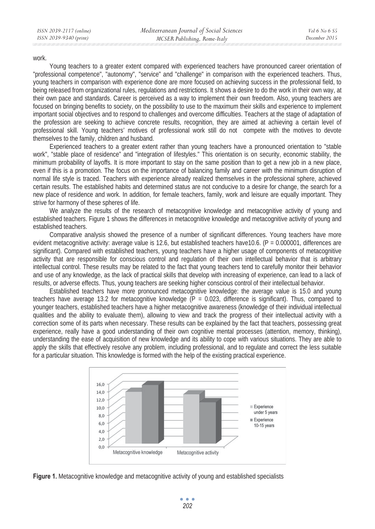work.

Young teachers to a greater extent compared with experienced teachers have pronounced career orientation of "professional competence", "autonomy", "service" and "challenge" in comparison with the experienced teachers. Thus, young teachers in comparison with experience done are more focused on achieving success in the professional field, to being released from organizational rules, regulations and restrictions. It shows a desire to do the work in their own way, at their own pace and standards. Career is perceived as a way to implement their own freedom. Also, young teachers are focused on bringing benefits to society, on the possibility to use to the maximum their skills and experience to implement important social objectives and to respond to challenges and overcome difficulties. Teachers at the stage of adaptation of the profession are seeking to achieve concrete results, recognition, they are aimed at achieving a certain level of professional skill. Young teachers' motives of professional work still do not compete with the motives to devote themselves to the family, children and husband.

Experienced teachers to a greater extent rather than young teachers have a pronounced orientation to "stable work", "stable place of residence" and "integration of lifestyles." This orientation is on security, economic stability, the minimum probability of layoffs. It is more important to stay on the same position than to get a new job in a new place, even if this is a promotion. The focus on the importance of balancing family and career with the minimum disruption of normal life style is traced. Teachers with experience already realized themselves in the professional sphere, achieved certain results. The established habits and determined status are not conducive to a desire for change, the search for a new place of residence and work. In addition, for female teachers, family, work and leisure are equally important. They strive for harmony of these spheres of life.

We analyze the results of the research of metacognitive knowledge and metacognitive activity of young and established teachers. Figure 1 shows the differences in metacognitive knowledge and metacognitive activity of young and established teachers.

Comparative analysis showed the presence of a number of significant differences. Young teachers have more evident metacognitive activity: average value is 12.6, but established teachers have 10.6. ( $P = 0.000001$ , differences are significant). Compared with established teachers, young teachers have a higher usage of components of metacognitive activity that are responsible for conscious control and regulation of their own intellectual behavior that is arbitrary intellectual control. These results may be related to the fact that young teachers tend to carefully monitor their behavior and use of any knowledge, as the lack of practical skills that develop with increasing of experience, can lead to a lack of results, or adverse effects. Thus, young teachers are seeking higher conscious control of their intellectual behavior.

Established teachers have more pronounced metacognitive knowledge: the average value is 15.0 and young teachers have average 13.2 for metacognitive knowledge ( $P = 0.023$ , difference is significant). Thus, compared to younger teachers, established teachers have a higher metacognitive awareness (knowledge of their individual intellectual qualities and the ability to evaluate them), allowing to view and track the progress of their intellectual activity with a correction some of its parts when necessary. These results can be explained by the fact that teachers, possessing great experience, really have a good understanding of their own cognitive mental processes (attention, memory, thinking), understanding the ease of acquisition of new knowledge and its ability to cope with various situations. They are able to apply the skills that effectively resolve any problem, including professional, and to regulate and correct the less suitable for a particular situation. This knowledge is formed with the help of the existing practical experience.



**Figure 1.** Metacognitive knowledge and metacognitive activity of young and established specialists

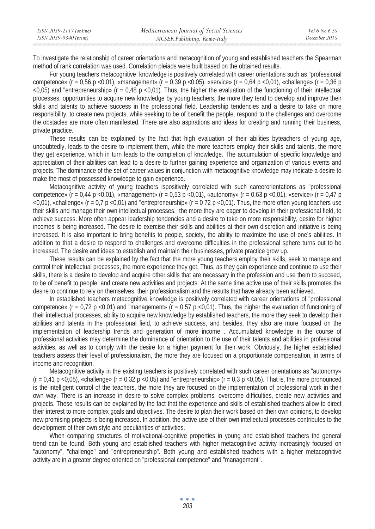| ISSN 2039-2117 (online) | Mediterranean Journal of Social Sciences | <i>Vol</i> 6 No 6 S5 |
|-------------------------|------------------------------------------|----------------------|
| ISSN 2039-9340 (print)  | MCSER Publishing, Rome-Italy             | December 2015        |

To investigate the relationship of career orientations and metacognition of young and established teachers the Spearman method of rank correlation was used. Correlation pleiads were built based on the obtained results.

For young teachers metacognitive knowledge is positively correlated with career orientations such as "professional competence» (r = 0,56 p <0,01), «management» (r = 0,39 p <0,05), «service» (r = 0,64 p <0,01), «challenge» (r = 0,36 p  $<$ 0,05) and "entrepreneurship» ( $r = 0.48$  p $<$ 0,01). Thus, the higher the evaluation of the functioning of their intellectual processes, opportunities to acquire new knowledge by young teachers, the more they tend to develop and improve their skills and talents to achieve success in the professional field. Leadership tendencies and a desire to take on more responsibility, to create new projects, while seeking to be of benefit the people, respond to the challenges and overcome the obstacles are more often manifested. There are also aspirations and ideas for creating and running their business, private practice.

These results can be explained by the fact that high evaluation of their abilities byteachers of young age, undoubtedly, leads to the desire to implement them, while the more teachers employ their skills and talents, the more they get experience, which in turn leads to the completion of knowledge. The accumulation of specific knowledge and appreciation of their abilities can lead to a desire to further gaining experience and organization of various events and projects. The dominance of the set of career values in conjunction with metacognitive knowledge may indicate a desire to make the most of possessed knowledge to gain experience.

Metacognitive activity of young teachers ispositively correlated with such careerorientations as "professional competence» (r = 0,44 p <0,01), «management» (r = 0,53 p <0,01), «autonomy» (r = 0,63 p <0,01), «service» (r = 0,47 p  $<$ 0,01), «challenge» (r = 0,7 p $<$ 0,01) and "entrepreneurship» (r = 0 72 p $<$ 0,01). Thus, the more often young teachers use their skills and manage their own intellectual processes, the more they are eager to develop in their professional field, to achieve success. More often appear leadership tendencies and a desire to take on more responsibility, desire for higher incomes is being increased. The desire to exercise their skills and abilities at their own discretion and initiative is being increased. It is also important to bring benefits to people, society, the ability to maximize the use of one's abilities. In addition to that a desire to respond to challenges and overcome difficulties in the professional sphere turns out to be increased. The desire and ideas to establish and maintain their businesses, private practice grow up.

These results can be explained by the fact that the more young teachers employ their skills, seek to manage and control their intellectual processes, the more experience they get. Thus, as they gain experience and continue to use their skills, there is a desire to develop and acquire other skills that are necessary in the profession and use them to succeed, to be of benefit to people, and create new activities and projects. At the same time active use of their skills promotes the desire to continue to rely on themselves, their professionalism and the results that have already been achieved.

In established teachers metacognitive knowledge is positively correlated with career orientations of "professional competence» ( $r = 0.72$  p <0.01) and "management» ( $r = 0.57$  p <0.01). Thus, the higher the evaluation of functioning of their intellectual processes, ability to acquire new knowledge by established teachers, the more they seek to develop their abilities and talents in the professional field, to achieve success, and besides, they also are more focused on the implementation of leadership trends and generation of more income . Accumulated knowledge in the course of professional activities may determine the dominance of orientation to the use of their talents and abilities in professional activities, as well as to comply with the desire for a higher payment for their work. Obviously, the higher established teachers assess their level of professionalism, the more they are focused on a proportionate compensation, in terms of income and recognition.

Metacognitive activity in the existing teachers is positively correlated with such career orientations as "autonomy»  $(r = 0.41 \text{ p} < 0.05)$ , «challenge» (r = 0.32 p <0.05) and "entrepreneurship» (r = 0.3 p <0.05). That is, the more pronounced is the intelligent control of the teachers, the more they are focused on the implementation of professional work in their own way. There is an increase in desire to solve complex problems, overcome difficulties, create new activities and projects. These results can be explained by the fact that the experience and skills of established teachers allow to direct their interest to more complex goals and objectives. The desire to plan their work based on their own opinions, to develop new promising projects is being increased. In addition, the active use of their own intellectual processes contributes to the development of their own style and peculiarities of activities.

When comparing structures of motivational-cognitive properties in young and established teachers the general trend can be found. Both young and established teachers with higher metacognitive activity increasingly focused on "autonomy", "challenge" and "entrepreneurship". Both young and established teachers with a higher metacognitive activity are in a greater degree oriented on "professional competence" and "management".